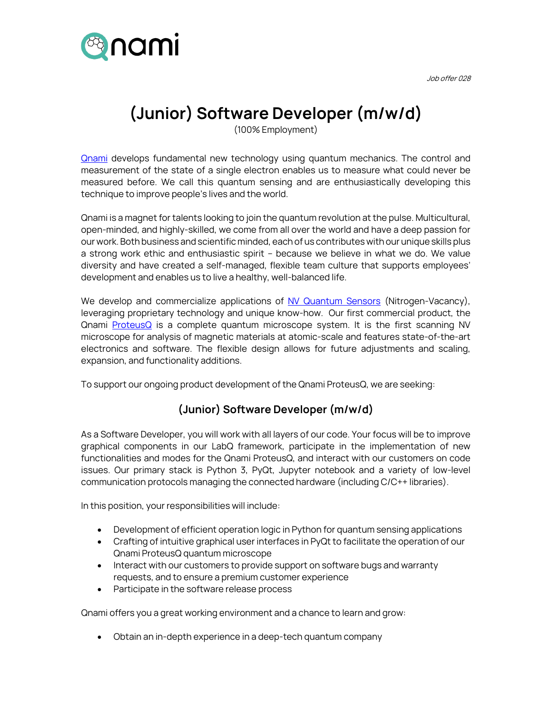

Job offer 028

## **(Junior) Software Developer (m/w/d)**

(100% Employment)

**[Qnami](http://www.qnami.ch/) develops fundamental new technology using quantum mechanics. The control and** measurement of the state of a single electron enables us to measure what could never be measured before. We call this quantum sensing and are enthusiastically developing this technique to improve people's lives and the world.

Qnami is a magnet for talents looking to join the quantum revolution at the pulse. Multicultural, open-minded, and highly-skilled, we come from all over the world and have a deep passion for our work. Both business and scientific minded, each of us contributes with our unique skills plus a strong work ethic and enthusiastic spirit – because we believe in what we do. We value diversity and have created a self-managed, flexible team culture that supports employees' development and enables us to live a healthy, well-balanced life.

We develop and commercialize applications of [NV Quantum Sensors](https://qnami.ch/technology/) (Nitrogen-Vacancy), leveraging proprietary technology and unique know-how. Our first commercial product, the Qnami [ProteusQ](https://qnami.ch/portfolio/proteusq/) is a complete quantum microscope system. It is the first scanning NV microscope for analysis of magnetic materials at atomic-scale and features state-of-the-art electronics and software. The flexible design allows for future adjustments and scaling, expansion, and functionality additions.

To support our ongoing product development of the Qnami ProteusQ, we are seeking:

## **(Junior) Software Developer (m/w/d)**

As a Software Developer, you will work with all layers of our code. Your focus will be to improve graphical components in our LabQ framework, participate in the implementation of new functionalities and modes for the Qnami ProteusQ, and interact with our customers on code issues. Our primary stack is Python 3, PyQt, Jupyter notebook and a variety of low-level communication protocols managing the connected hardware (including C/C++ libraries).

In this position, your responsibilities will include:

- Development of efficient operation logic in Python for quantum sensing applications
- Crafting of intuitive graphical user interfaces in PyQt to facilitate the operation of our Qnami ProteusQ quantum microscope
- Interact with our customers to provide support on software bugs and warranty requests, and to ensure a premium customer experience
- Participate in the software release process

Qnami offers you a great working environment and a chance to learn and grow:

• Obtain an in-depth experience in a deep-tech quantum company